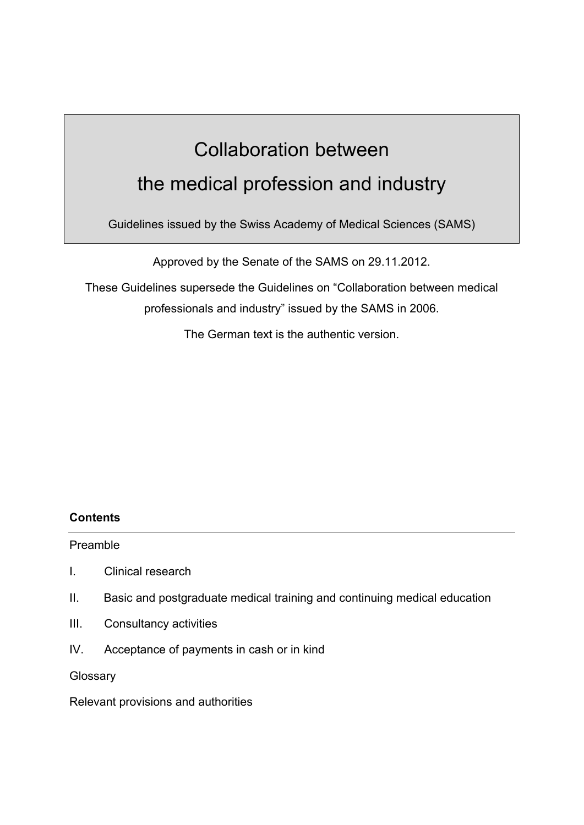# Collaboration between the medical profession and industry

Guidelines issued by the Swiss Academy of Medical Sciences (SAMS)

Approved by the Senate of the SAMS on 29.11.2012.

These Guidelines supersede the Guidelines on "Collaboration between medical professionals and industry" issued by the SAMS in 2006.

The German text is the authentic version.

# **Contents**

Preamble

- I. Clinical research
- II. Basic and postgraduate medical training and continuing medical education
- III. Consultancy activities
- IV. Acceptance of payments in cash or in kind

**Glossary** 

Relevant provisions and authorities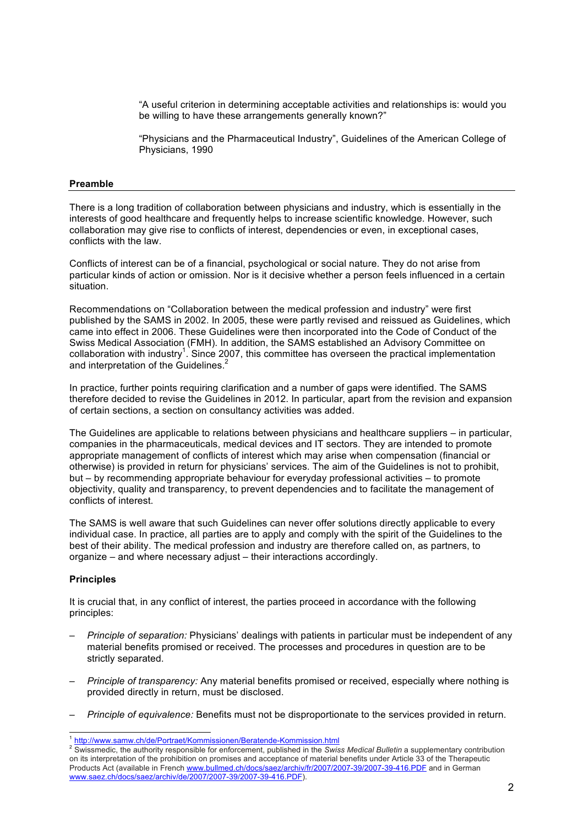"A useful criterion in determining acceptable activities and relationships is: would you be willing to have these arrangements generally known?"

"Physicians and the Pharmaceutical Industry", Guidelines of the American College of Physicians, 1990

#### **Preamble**

There is a long tradition of collaboration between physicians and industry, which is essentially in the interests of good healthcare and frequently helps to increase scientific knowledge. However, such collaboration may give rise to conflicts of interest, dependencies or even, in exceptional cases, conflicts with the law.

Conflicts of interest can be of a financial, psychological or social nature. They do not arise from particular kinds of action or omission. Nor is it decisive whether a person feels influenced in a certain situation.

Recommendations on "Collaboration between the medical profession and industry" were first published by the SAMS in 2002. In 2005, these were partly revised and reissued as Guidelines, which came into effect in 2006. These Guidelines were then incorporated into the Code of Conduct of the Swiss Medical Association (FMH). In addition, the SAMS established an Advisory Committee on collaboration with industry<sup>1</sup>. Since 2007, this committee has overseen the practical implementation and interpretation of the Guidelines.<sup>2</sup>

In practice, further points requiring clarification and a number of gaps were identified. The SAMS therefore decided to revise the Guidelines in 2012. In particular, apart from the revision and expansion of certain sections, a section on consultancy activities was added.

The Guidelines are applicable to relations between physicians and healthcare suppliers – in particular, companies in the pharmaceuticals, medical devices and IT sectors. They are intended to promote appropriate management of conflicts of interest which may arise when compensation (financial or otherwise) is provided in return for physicians' services. The aim of the Guidelines is not to prohibit, but – by recommending appropriate behaviour for everyday professional activities – to promote objectivity, quality and transparency, to prevent dependencies and to facilitate the management of conflicts of interest.

The SAMS is well aware that such Guidelines can never offer solutions directly applicable to every individual case. In practice, all parties are to apply and comply with the spirit of the Guidelines to the best of their ability. The medical profession and industry are therefore called on, as partners, to organize – and where necessary adjust – their interactions accordingly.

#### **Principles**

It is crucial that, in any conflict of interest, the parties proceed in accordance with the following principles:

- *Principle of separation:* Physicians' dealings with patients in particular must be independent of any material benefits promised or received. The processes and procedures in question are to be strictly separated.
- *Principle of transparency:* Any material benefits promised or received, especially where nothing is provided directly in return, must be disclosed.
- *Principle of equivalence:* Benefits must not be disproportionate to the services provided in return.

<sup>&</sup>lt;sup>1</sup> <u>http://www.samw.ch/de/Portraet/Kommissionen/Beratende-Kommission.html</u><br><sup>2</sup> Swissmedic, the authority responsible for enforcement, published in the *Swiss Medical Bulletin* a supplementary contribution on its interpretation of the prohibition on promises and acceptance of material benefits under Article 33 of the Therapeutic Products Act (available in French www.bullmed.ch/docs/saez/archiv/fr/2007/2007-39/2007-39-416.PDF and in German www.saez.ch/docs/saez/archiv/de/2007/2007-39/2007-39-416.PDF).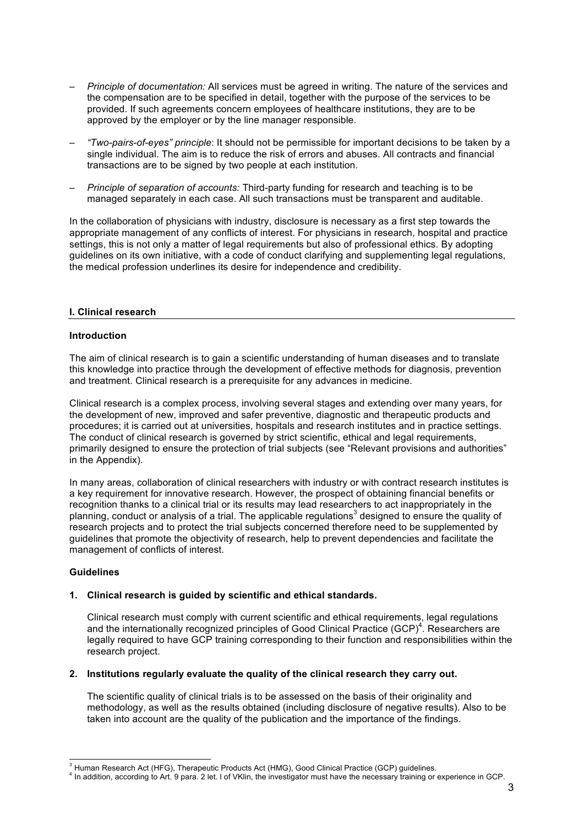- *Principle of documentation:* All services must be agreed in writing. The nature of the services and the compensation are to be specified in detail, together with the purpose of the services to be provided. If such agreements concern employees of healthcare institutions, they are to be approved by the employer or by the line manager responsible.
- *"Two-pairs-of-eyes" principle*: It should not be permissible for important decisions to be taken by a single individual. The aim is to reduce the risk of errors and abuses. All contracts and financial transactions are to be signed by two people at each institution.
- *Principle of separation of accounts:* Third-party funding for research and teaching is to be managed separately in each case. All such transactions must be transparent and auditable.

In the collaboration of physicians with industry, disclosure is necessary as a first step towards the appropriate management of any conflicts of interest. For physicians in research, hospital and practice settings, this is not only a matter of legal requirements but also of professional ethics. By adopting guidelines on its own initiative, with a code of conduct clarifying and supplementing legal regulations, the medical profession underlines its desire for independence and credibility.

# **I. Clinical research**

# **Introduction**

The aim of clinical research is to gain a scientific understanding of human diseases and to translate this knowledge into practice through the development of effective methods for diagnosis, prevention and treatment. Clinical research is a prerequisite for any advances in medicine.

Clinical research is a complex process, involving several stages and extending over many years, for the development of new, improved and safer preventive, diagnostic and therapeutic products and procedures; it is carried out at universities, hospitals and research institutes and in practice settings. The conduct of clinical research is governed by strict scientific, ethical and legal requirements, primarily designed to ensure the protection of trial subjects (see "Relevant provisions and authorities" in the Appendix).

In many areas, collaboration of clinical researchers with industry or with contract research institutes is a key requirement for innovative research. However, the prospect of obtaining financial benefits or recognition thanks to a clinical trial or its results may lead researchers to act inappropriately in the planning, conduct or analysis of a trial. The applicable regulations<sup>3</sup> designed to ensure the quality of research projects and to protect the trial subjects concerned therefore need to be supplemented by guidelines that promote the objectivity of research, help to prevent dependencies and facilitate the management of conflicts of interest.

# **Guidelines**

# **1. Clinical research is guided by scientific and ethical standards.**

Clinical research must comply with current scientific and ethical requirements, legal regulations and the internationally recognized principles of Good Clinical Practice (GCP)<sup>4</sup>. Researchers are legally required to have GCP training corresponding to their function and responsibilities within the research project.

# **2. Institutions regularly evaluate the quality of the clinical research they carry out.**

The scientific quality of clinical trials is to be assessed on the basis of their originality and methodology, as well as the results obtained (including disclosure of negative results). Also to be taken into account are the quality of the publication and the importance of the findings.

#### 4 In addition, according to Art. 9 para. 2 let. l of VKlin, the investigator must have the necessary training or experience in GCP.

3 Human Research Act (HFG), Therapeutic Products Act (HMG), Good Clinical Practice (GCP) guidelines.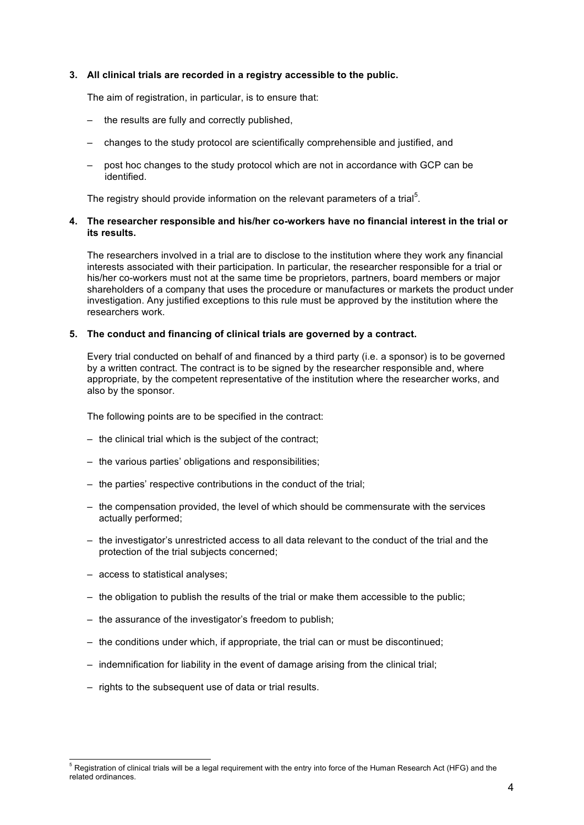# **3. All clinical trials are recorded in a registry accessible to the public.**

The aim of registration, in particular, is to ensure that:

- the results are fully and correctly published,
- changes to the study protocol are scientifically comprehensible and justified, and
- post hoc changes to the study protocol which are not in accordance with GCP can be identified.

The registry should provide information on the relevant parameters of a trial<sup>5</sup>.

# **4. The researcher responsible and his/her co-workers have no financial interest in the trial or its results.**

The researchers involved in a trial are to disclose to the institution where they work any financial interests associated with their participation. In particular, the researcher responsible for a trial or his/her co-workers must not at the same time be proprietors, partners, board members or major shareholders of a company that uses the procedure or manufactures or markets the product under investigation. Any justified exceptions to this rule must be approved by the institution where the researchers work.

#### **5. The conduct and financing of clinical trials are governed by a contract.**

Every trial conducted on behalf of and financed by a third party (i.e. a sponsor) is to be governed by a written contract. The contract is to be signed by the researcher responsible and, where appropriate, by the competent representative of the institution where the researcher works, and also by the sponsor.

The following points are to be specified in the contract:

- the clinical trial which is the subject of the contract;
- the various parties' obligations and responsibilities;
- the parties' respective contributions in the conduct of the trial;
- the compensation provided, the level of which should be commensurate with the services actually performed;
- the investigator's unrestricted access to all data relevant to the conduct of the trial and the protection of the trial subjects concerned;
- access to statistical analyses;
- the obligation to publish the results of the trial or make them accessible to the public;
- the assurance of the investigator's freedom to publish;
- the conditions under which, if appropriate, the trial can or must be discontinued;
- indemnification for liability in the event of damage arising from the clinical trial;
- rights to the subsequent use of data or trial results.

5 Registration of clinical trials will be a legal requirement with the entry into force of the Human Research Act (HFG) and the related ordinances.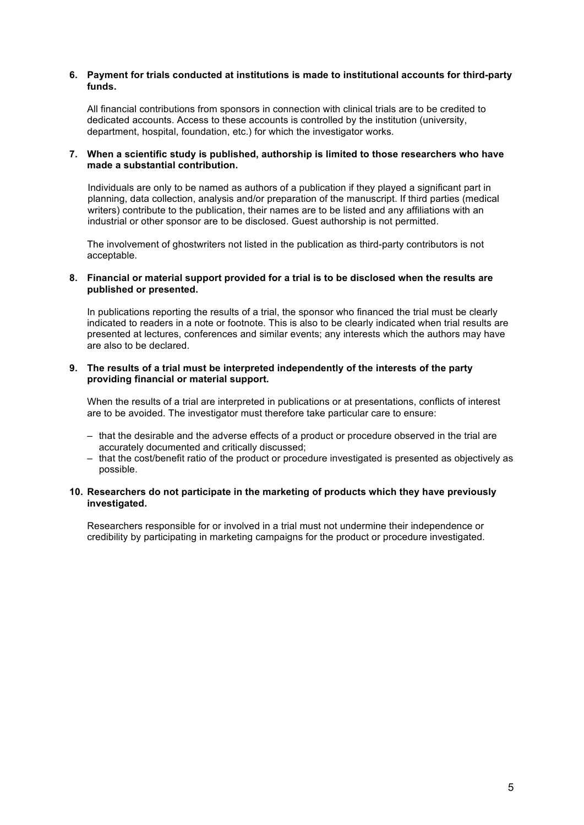# **6. Payment for trials conducted at institutions is made to institutional accounts for third-party funds.**

All financial contributions from sponsors in connection with clinical trials are to be credited to dedicated accounts. Access to these accounts is controlled by the institution (university, department, hospital, foundation, etc.) for which the investigator works.

# **7. When a scientific study is published, authorship is limited to those researchers who have made a substantial contribution.**

Individuals are only to be named as authors of a publication if they played a significant part in planning, data collection, analysis and/or preparation of the manuscript. If third parties (medical writers) contribute to the publication, their names are to be listed and any affiliations with an industrial or other sponsor are to be disclosed. Guest authorship is not permitted.

The involvement of ghostwriters not listed in the publication as third-party contributors is not acceptable.

# **8. Financial or material support provided for a trial is to be disclosed when the results are published or presented.**

In publications reporting the results of a trial, the sponsor who financed the trial must be clearly indicated to readers in a note or footnote. This is also to be clearly indicated when trial results are presented at lectures, conferences and similar events; any interests which the authors may have are also to be declared.

# **9. The results of a trial must be interpreted independently of the interests of the party providing financial or material support.**

When the results of a trial are interpreted in publications or at presentations, conflicts of interest are to be avoided. The investigator must therefore take particular care to ensure:

- that the desirable and the adverse effects of a product or procedure observed in the trial are accurately documented and critically discussed;
- that the cost/benefit ratio of the product or procedure investigated is presented as objectively as possible.

# **10. Researchers do not participate in the marketing of products which they have previously investigated.**

Researchers responsible for or involved in a trial must not undermine their independence or credibility by participating in marketing campaigns for the product or procedure investigated.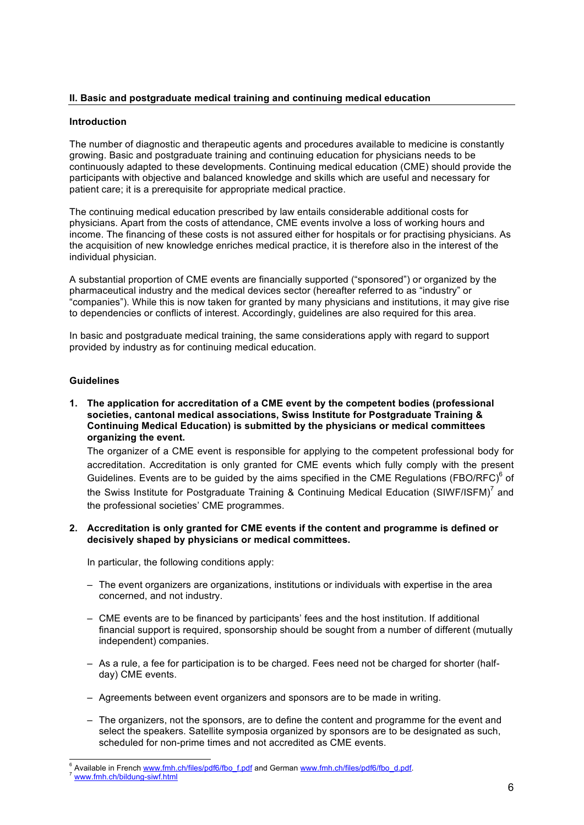# **II. Basic and postgraduate medical training and continuing medical education**

# **Introduction**

The number of diagnostic and therapeutic agents and procedures available to medicine is constantly growing. Basic and postgraduate training and continuing education for physicians needs to be continuously adapted to these developments. Continuing medical education (CME) should provide the participants with objective and balanced knowledge and skills which are useful and necessary for patient care; it is a prerequisite for appropriate medical practice.

The continuing medical education prescribed by law entails considerable additional costs for physicians. Apart from the costs of attendance, CME events involve a loss of working hours and income. The financing of these costs is not assured either for hospitals or for practising physicians. As the acquisition of new knowledge enriches medical practice, it is therefore also in the interest of the individual physician.

A substantial proportion of CME events are financially supported ("sponsored") or organized by the pharmaceutical industry and the medical devices sector (hereafter referred to as "industry" or "companies"). While this is now taken for granted by many physicians and institutions, it may give rise to dependencies or conflicts of interest. Accordingly, guidelines are also required for this area.

In basic and postgraduate medical training, the same considerations apply with regard to support provided by industry as for continuing medical education.

# **Guidelines**

**1. The application for accreditation of a CME event by the competent bodies (professional societies, cantonal medical associations, Swiss Institute for Postgraduate Training & Continuing Medical Education) is submitted by the physicians or medical committees organizing the event.**

The organizer of a CME event is responsible for applying to the competent professional body for accreditation. Accreditation is only granted for CME events which fully comply with the present Guidelines. Events are to be guided by the aims specified in the CME Regulations (FBO/RFC) $^6$  of the Swiss Institute for Postgraduate Training & Continuing Medical Education (SIWF/ISFM)<sup>7</sup> and the professional societies' CME programmes.

# **2. Accreditation is only granted for CME events if the content and programme is defined or decisively shaped by physicians or medical committees.**

In particular, the following conditions apply:

- The event organizers are organizations, institutions or individuals with expertise in the area concerned, and not industry.
- CME events are to be financed by participants' fees and the host institution. If additional financial support is required, sponsorship should be sought from a number of different (mutually independent) companies.
- As a rule, a fee for participation is to be charged. Fees need not be charged for shorter (halfday) CME events.
- Agreements between event organizers and sponsors are to be made in writing.
- The organizers, not the sponsors, are to define the content and programme for the event and select the speakers. Satellite symposia organized by sponsors are to be designated as such, scheduled for non-prime times and not accredited as CME events.

<sup>-&</sup>lt;br>6 Available in French www.fmh.ch/files/pdf6/fbo\_f.pdf and German www.fmh.ch/files/pdf6/fbo\_d.pdf. www.fmh.ch/bildung-siwf.html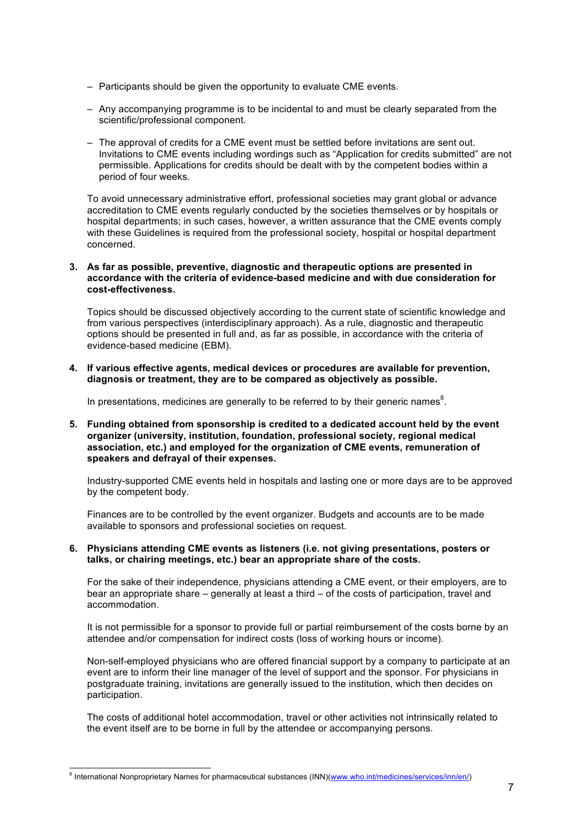- Participants should be given the opportunity to evaluate CME events.
- Any accompanying programme is to be incidental to and must be clearly separated from the scientific/professional component.
- The approval of credits for a CME event must be settled before invitations are sent out. Invitations to CME events including wordings such as "Application for credits submitted" are not permissible. Applications for credits should be dealt with by the competent bodies within a period of four weeks.

To avoid unnecessary administrative effort, professional societies may grant global or advance accreditation to CME events regularly conducted by the societies themselves or by hospitals or hospital departments; in such cases, however, a written assurance that the CME events comply with these Guidelines is required from the professional society, hospital or hospital department concerned.

#### **3. As far as possible, preventive, diagnostic and therapeutic options are presented in accordance with the criteria of evidence-based medicine and with due consideration for cost-effectiveness.**

Topics should be discussed objectively according to the current state of scientific knowledge and from various perspectives (interdisciplinary approach). As a rule, diagnostic and therapeutic options should be presented in full and, as far as possible, in accordance with the criteria of evidence-based medicine (EBM).

**4. If various effective agents, medical devices or procedures are available for prevention, diagnosis or treatment, they are to be compared as objectively as possible.**

In presentations, medicines are generally to be referred to by their generic names $^8$ .

**5. Funding obtained from sponsorship is credited to a dedicated account held by the event organizer (university, institution, foundation, professional society, regional medical association, etc.) and employed for the organization of CME events, remuneration of speakers and defrayal of their expenses.**

Industry-supported CME events held in hospitals and lasting one or more days are to be approved by the competent body.

Finances are to be controlled by the event organizer. Budgets and accounts are to be made available to sponsors and professional societies on request.

# **6. Physicians attending CME events as listeners (i.e. not giving presentations, posters or talks, or chairing meetings, etc.) bear an appropriate share of the costs.**

For the sake of their independence, physicians attending a CME event, or their employers, are to bear an appropriate share – generally at least a third – of the costs of participation, travel and accommodation.

It is not permissible for a sponsor to provide full or partial reimbursement of the costs borne by an attendee and/or compensation for indirect costs (loss of working hours or income).

Non-self-employed physicians who are offered financial support by a company to participate at an event are to inform their line manager of the level of support and the sponsor. For physicians in postgraduate training, invitations are generally issued to the institution, which then decides on participation.

The costs of additional hotel accommodation, travel or other activities not intrinsically related to the event itself are to be borne in full by the attendee or accompanying persons.

<sup>-&</sup>lt;br>8 <sup>8</sup> International Nonproprietary Names for pharmaceutical substances (INN)(www.who.int/medicines/services/inn/en/)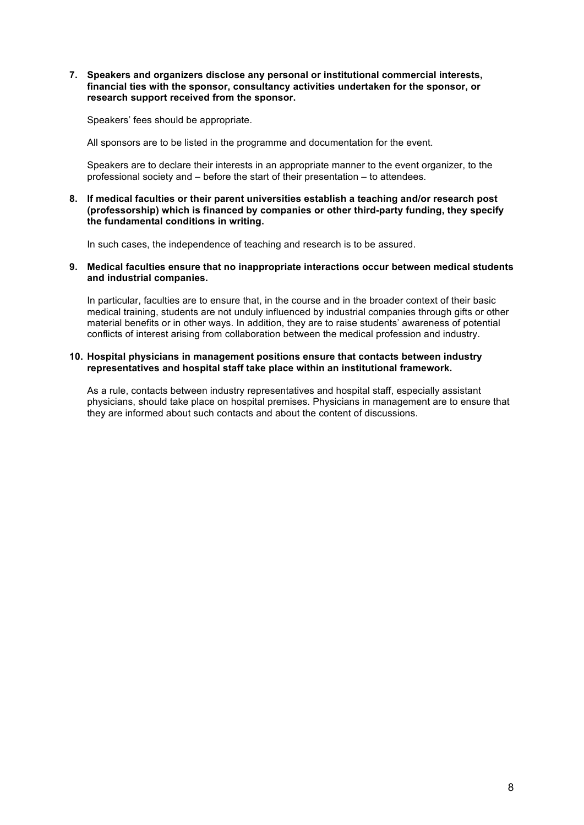**7. Speakers and organizers disclose any personal or institutional commercial interests, financial ties with the sponsor, consultancy activities undertaken for the sponsor, or research support received from the sponsor.**

Speakers' fees should be appropriate.

All sponsors are to be listed in the programme and documentation for the event.

Speakers are to declare their interests in an appropriate manner to the event organizer, to the professional society and – before the start of their presentation – to attendees.

**8. If medical faculties or their parent universities establish a teaching and/or research post (professorship) which is financed by companies or other third-party funding, they specify the fundamental conditions in writing.**

In such cases, the independence of teaching and research is to be assured.

**9. Medical faculties ensure that no inappropriate interactions occur between medical students and industrial companies.**

In particular, faculties are to ensure that, in the course and in the broader context of their basic medical training, students are not unduly influenced by industrial companies through gifts or other material benefits or in other ways. In addition, they are to raise students' awareness of potential conflicts of interest arising from collaboration between the medical profession and industry.

# **10. Hospital physicians in management positions ensure that contacts between industry representatives and hospital staff take place within an institutional framework.**

As a rule, contacts between industry representatives and hospital staff, especially assistant physicians, should take place on hospital premises. Physicians in management are to ensure that they are informed about such contacts and about the content of discussions.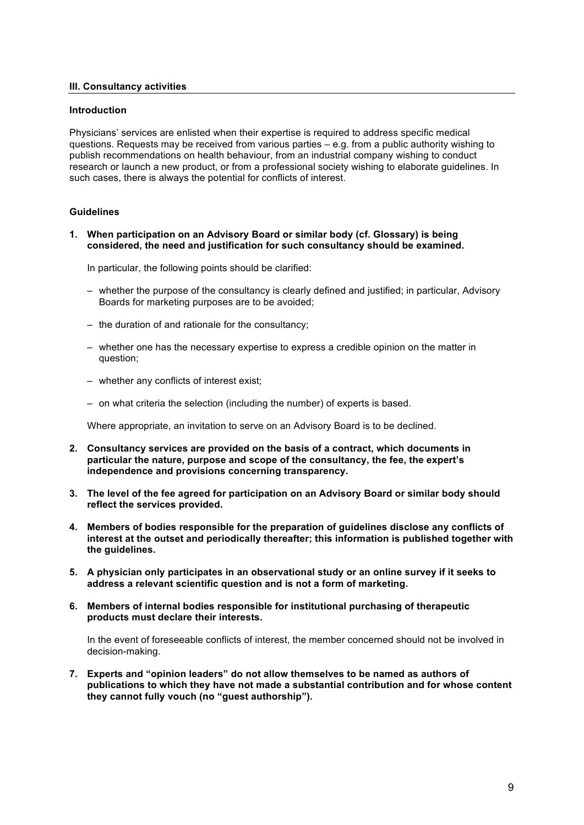# **III. Consultancy activities**

# **Introduction**

Physicians' services are enlisted when their expertise is required to address specific medical questions. Requests may be received from various parties – e.g. from a public authority wishing to publish recommendations on health behaviour, from an industrial company wishing to conduct research or launch a new product, or from a professional society wishing to elaborate guidelines. In such cases, there is always the potential for conflicts of interest.

# **Guidelines**

**1. When participation on an Advisory Board or similar body (cf. Glossary) is being considered, the need and justification for such consultancy should be examined.**

In particular, the following points should be clarified:

- whether the purpose of the consultancy is clearly defined and justified; in particular, Advisory Boards for marketing purposes are to be avoided;
- the duration of and rationale for the consultancy;
- whether one has the necessary expertise to express a credible opinion on the matter in question;
- whether any conflicts of interest exist;
- on what criteria the selection (including the number) of experts is based.

Where appropriate, an invitation to serve on an Advisory Board is to be declined.

- **2. Consultancy services are provided on the basis of a contract, which documents in particular the nature, purpose and scope of the consultancy, the fee, the expert's independence and provisions concerning transparency.**
- **3. The level of the fee agreed for participation on an Advisory Board or similar body should reflect the services provided.**
- **4. Members of bodies responsible for the preparation of guidelines disclose any conflicts of interest at the outset and periodically thereafter; this information is published together with the guidelines.**
- **5. A physician only participates in an observational study or an online survey if it seeks to address a relevant scientific question and is not a form of marketing.**
- **6. Members of internal bodies responsible for institutional purchasing of therapeutic products must declare their interests.**

In the event of foreseeable conflicts of interest, the member concerned should not be involved in decision-making.

**7. Experts and "opinion leaders" do not allow themselves to be named as authors of publications to which they have not made a substantial contribution and for whose content they cannot fully vouch (no "guest authorship").**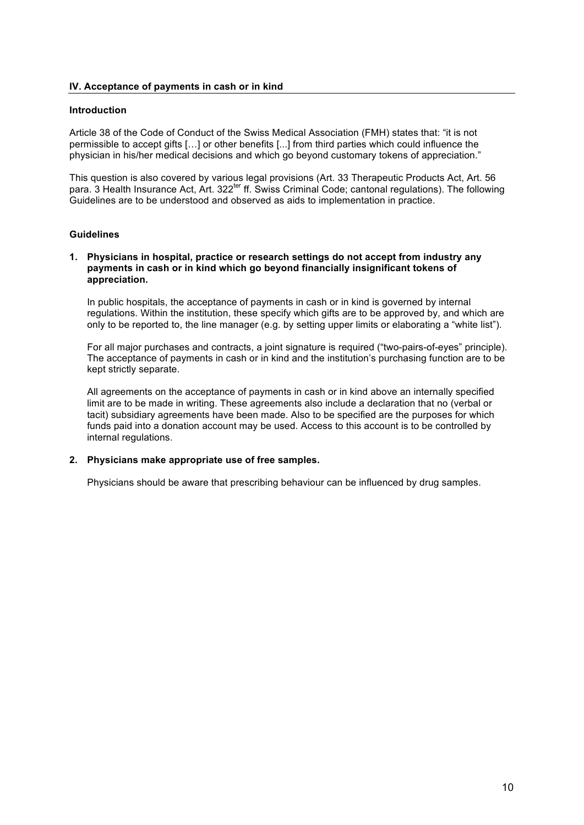# **IV. Acceptance of payments in cash or in kind**

# **Introduction**

Article 38 of the Code of Conduct of the Swiss Medical Association (FMH) states that: "it is not permissible to accept gifts […] or other benefits [...] from third parties which could influence the physician in his/her medical decisions and which go beyond customary tokens of appreciation."

This question is also covered by various legal provisions (Art. 33 Therapeutic Products Act, Art. 56 para. 3 Health Insurance Act, Art. 322<sup>ter</sup> ff. Swiss Criminal Code; cantonal regulations). The following Guidelines are to be understood and observed as aids to implementation in practice.

# **Guidelines**

# **1. Physicians in hospital, practice or research settings do not accept from industry any payments in cash or in kind which go beyond financially insignificant tokens of appreciation.**

In public hospitals, the acceptance of payments in cash or in kind is governed by internal regulations. Within the institution, these specify which gifts are to be approved by, and which are only to be reported to, the line manager (e.g. by setting upper limits or elaborating a "white list").

For all major purchases and contracts, a joint signature is required ("two-pairs-of-eyes" principle). The acceptance of payments in cash or in kind and the institution's purchasing function are to be kept strictly separate.

All agreements on the acceptance of payments in cash or in kind above an internally specified limit are to be made in writing. These agreements also include a declaration that no (verbal or tacit) subsidiary agreements have been made. Also to be specified are the purposes for which funds paid into a donation account may be used. Access to this account is to be controlled by internal regulations.

# **2. Physicians make appropriate use of free samples.**

Physicians should be aware that prescribing behaviour can be influenced by drug samples.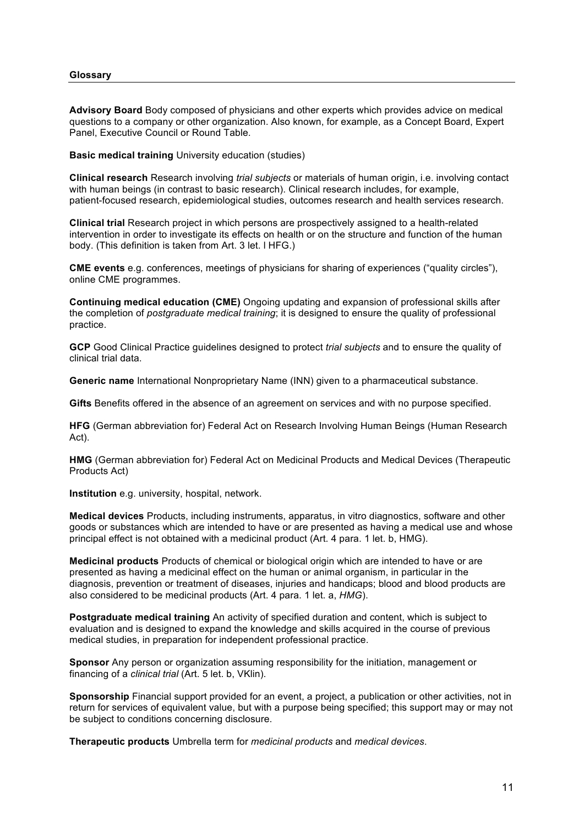# **Glossary**

**Advisory Board** Body composed of physicians and other experts which provides advice on medical questions to a company or other organization. Also known, for example, as a Concept Board, Expert Panel, Executive Council or Round Table.

**Basic medical training** University education (studies)

**Clinical research** Research involving *trial subjects* or materials of human origin, i.e. involving contact with human beings (in contrast to basic research). Clinical research includes, for example, patient-focused research, epidemiological studies, outcomes research and health services research.

**Clinical trial** Research project in which persons are prospectively assigned to a health-related intervention in order to investigate its effects on health or on the structure and function of the human body. (This definition is taken from Art. 3 let. l HFG.)

**CME events** e.g. conferences, meetings of physicians for sharing of experiences ("quality circles"), online CME programmes.

**Continuing medical education (CME)** Ongoing updating and expansion of professional skills after the completion of *postgraduate medical training*; it is designed to ensure the quality of professional practice.

**GCP** Good Clinical Practice guidelines designed to protect *trial subjects* and to ensure the quality of clinical trial data.

**Generic name** International Nonproprietary Name (INN) given to a pharmaceutical substance.

**Gifts** Benefits offered in the absence of an agreement on services and with no purpose specified.

**HFG** (German abbreviation for) Federal Act on Research Involving Human Beings (Human Research Act).

**HMG** (German abbreviation for) Federal Act on Medicinal Products and Medical Devices (Therapeutic Products Act)

**Institution** e.g. university, hospital, network.

**Medical devices** Products, including instruments, apparatus, in vitro diagnostics, software and other goods or substances which are intended to have or are presented as having a medical use and whose principal effect is not obtained with a medicinal product (Art. 4 para. 1 let. b, HMG).

**Medicinal products** Products of chemical or biological origin which are intended to have or are presented as having a medicinal effect on the human or animal organism, in particular in the diagnosis, prevention or treatment of diseases, injuries and handicaps; blood and blood products are also considered to be medicinal products (Art. 4 para. 1 let. a, *HMG*).

**Postgraduate medical training** An activity of specified duration and content, which is subject to evaluation and is designed to expand the knowledge and skills acquired in the course of previous medical studies, in preparation for independent professional practice.

**Sponsor** Any person or organization assuming responsibility for the initiation, management or financing of a *clinical trial* (Art. 5 let. b, VKlin).

**Sponsorship** Financial support provided for an event, a project, a publication or other activities, not in return for services of equivalent value, but with a purpose being specified; this support may or may not be subject to conditions concerning disclosure.

**Therapeutic products** Umbrella term for *medicinal products* and *medical devices*.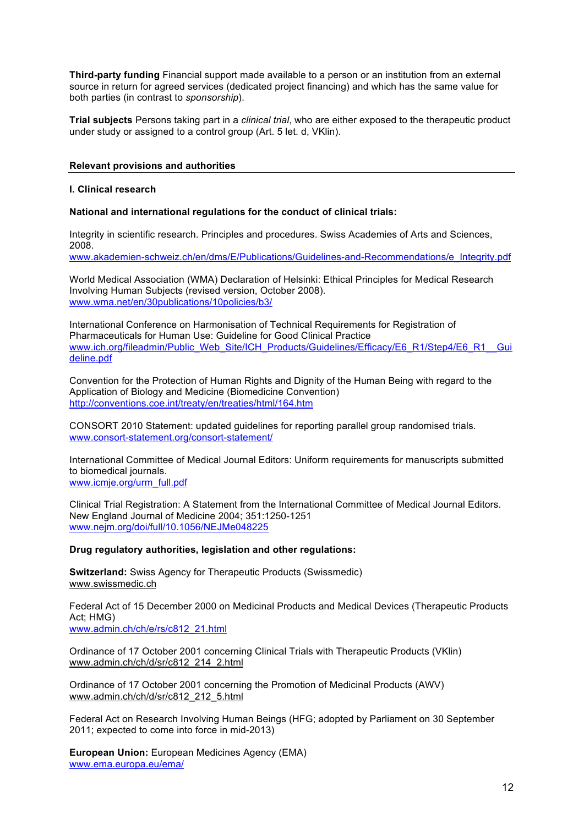**Third-party funding** Financial support made available to a person or an institution from an external source in return for agreed services (dedicated project financing) and which has the same value for both parties (in contrast to *sponsorship*).

**Trial subjects** Persons taking part in a *clinical trial*, who are either exposed to the therapeutic product under study or assigned to a control group (Art. 5 let. d, VKlin).

# **Relevant provisions and authorities**

# **I. Clinical research**

# **National and international regulations for the conduct of clinical trials:**

Integrity in scientific research. Principles and procedures. Swiss Academies of Arts and Sciences, 2008. www.akademien-schweiz.ch/en/dms/E/Publications/Guidelines-and-Recommendations/e\_Integrity.pdf

World Medical Association (WMA) Declaration of Helsinki: Ethical Principles for Medical Research Involving Human Subjects (revised version, October 2008). www.wma.net/en/30publications/10policies/b3/

International Conference on Harmonisation of Technical Requirements for Registration of Pharmaceuticals for Human Use: Guideline for Good Clinical Practice www.ich.org/fileadmin/Public\_Web\_Site/ICH\_Products/Guidelines/Efficacy/E6\_R1/Step4/E6\_R1\_\_Gui deline.pdf

Convention for the Protection of Human Rights and Dignity of the Human Being with regard to the Application of Biology and Medicine (Biomedicine Convention) http://conventions.coe.int/treaty/en/treaties/html/164.htm

CONSORT 2010 Statement: updated guidelines for reporting parallel group randomised trials. www.consort-statement.org/consort-statement/

International Committee of Medical Journal Editors: Uniform requirements for manuscripts submitted to biomedical journals. www.icmje.org/urm\_full.pdf

Clinical Trial Registration: A Statement from the International Committee of Medical Journal Editors. New England Journal of Medicine 2004; 351:1250-1251 www.nejm.org/doi/full/10.1056/NEJMe048225

# **Drug regulatory authorities, legislation and other regulations:**

**Switzerland:** Swiss Agency for Therapeutic Products (Swissmedic) www.swissmedic.ch

Federal Act of 15 December 2000 on Medicinal Products and Medical Devices (Therapeutic Products Act; HMG)

www.admin.ch/ch/e/rs/c812\_21.html

Ordinance of 17 October 2001 concerning Clinical Trials with Therapeutic Products (VKlin) www.admin.ch/ch/d/sr/c812\_214\_2.html

Ordinance of 17 October 2001 concerning the Promotion of Medicinal Products (AWV) www.admin.ch/ch/d/sr/c812\_212\_5.html

Federal Act on Research Involving Human Beings (HFG; adopted by Parliament on 30 September 2011; expected to come into force in mid-2013)

**European Union:** European Medicines Agency (EMA) www.ema.europa.eu/ema/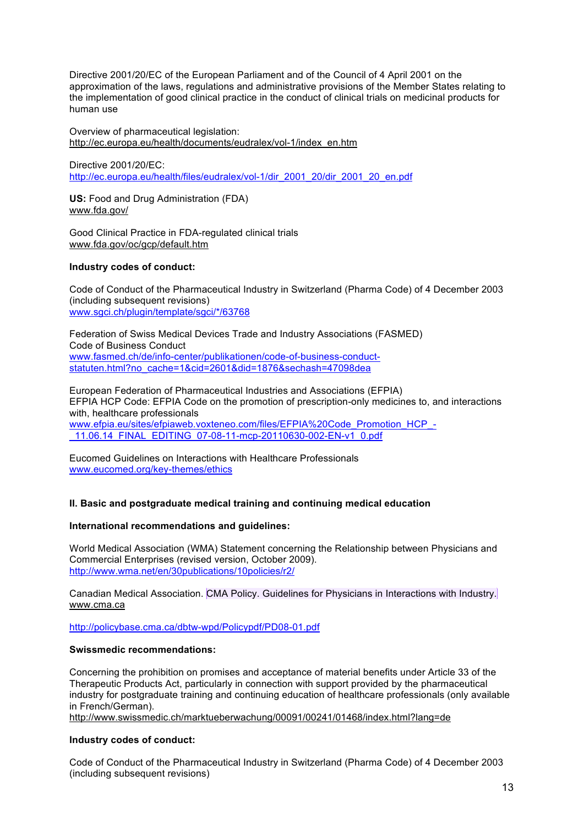Directive 2001/20/EC of the European Parliament and of the Council of 4 April 2001 on the approximation of the laws, regulations and administrative provisions of the Member States relating to the implementation of good clinical practice in the conduct of clinical trials on medicinal products for human use

Overview of pharmaceutical legislation: http://ec.europa.eu/health/documents/eudralex/vol-1/index\_en.htm

Directive 2001/20/EC: http://ec.europa.eu/health/files/eudralex/vol-1/dir\_2001\_20/dir\_2001\_20\_en.pdf

**US:** Food and Drug Administration (FDA) www.fda.gov/

Good Clinical Practice in FDA-regulated clinical trials www.fda.gov/oc/gcp/default.htm

# **Industry codes of conduct:**

Code of Conduct of the Pharmaceutical Industry in Switzerland (Pharma Code) of 4 December 2003 (including subsequent revisions) www.sgci.ch/plugin/template/sgci/\*/63768

Federation of Swiss Medical Devices Trade and Industry Associations (FASMED) Code of Business Conduct www.fasmed.ch/de/info-center/publikationen/code-of-business-conductstatuten.html?no\_cache=1&cid=2601&did=1876&sechash=47098dea

European Federation of Pharmaceutical Industries and Associations (EFPIA) EFPIA HCP Code: EFPIA Code on the promotion of prescription-only medicines to, and interactions with, healthcare professionals www.efpia.eu/sites/efpiaweb.voxteneo.com/files/EFPIA%20Code\_Promotion\_HCP\_- \_11.06.14\_FINAL\_EDITING\_07-08-11-mcp-20110630-002-EN-v1\_0.pdf

Eucomed Guidelines on Interactions with Healthcare Professionals www.eucomed.org/key-themes/ethics

# **II. Basic and postgraduate medical training and continuing medical education**

# **International recommendations and guidelines:**

World Medical Association (WMA) Statement concerning the Relationship between Physicians and Commercial Enterprises (revised version, October 2009). http://www.wma.net/en/30publications/10policies/r2/

Canadian Medical Association. CMA Policy. Guidelines for Physicians in Interactions with Industry. www.cma.ca

http://policybase.cma.ca/dbtw-wpd/Policypdf/PD08-01.pdf

# **Swissmedic recommendations:**

Concerning the prohibition on promises and acceptance of material benefits under Article 33 of the Therapeutic Products Act, particularly in connection with support provided by the pharmaceutical industry for postgraduate training and continuing education of healthcare professionals (only available in French/German).

http://www.swissmedic.ch/marktueberwachung/00091/00241/01468/index.html?lang=de

# **Industry codes of conduct:**

Code of Conduct of the Pharmaceutical Industry in Switzerland (Pharma Code) of 4 December 2003 (including subsequent revisions)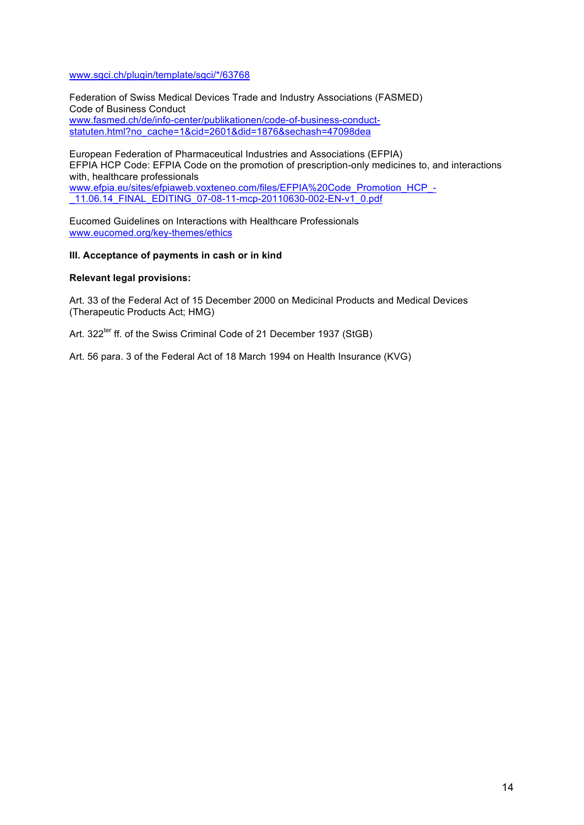# www.sgci.ch/plugin/template/sgci/\*/63768

Federation of Swiss Medical Devices Trade and Industry Associations (FASMED) Code of Business Conduct www.fasmed.ch/de/info-center/publikationen/code-of-business-conductstatuten.html?no\_cache=1&cid=2601&did=1876&sechash=47098dea

European Federation of Pharmaceutical Industries and Associations (EFPIA) EFPIA HCP Code: EFPIA Code on the promotion of prescription-only medicines to, and interactions with, healthcare professionals www.efpia.eu/sites/efpiaweb.voxteneo.com/files/EFPIA%20Code\_Promotion\_HCP\_-\_11.06.14\_FINAL\_EDITING\_07-08-11-mcp-20110630-002-EN-v1\_0.pdf

Eucomed Guidelines on Interactions with Healthcare Professionals www.eucomed.org/key-themes/ethics

# **III. Acceptance of payments in cash or in kind**

# **Relevant legal provisions:**

Art. 33 of the Federal Act of 15 December 2000 on Medicinal Products and Medical Devices (Therapeutic Products Act; HMG)

Art. 322<sup>ter</sup> ff. of the Swiss Criminal Code of 21 December 1937 (StGB)

Art. 56 para. 3 of the Federal Act of 18 March 1994 on Health Insurance (KVG)